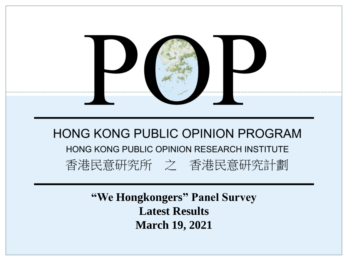

**"We Hongkongers" Panel Survey Latest Results March 19, 2021**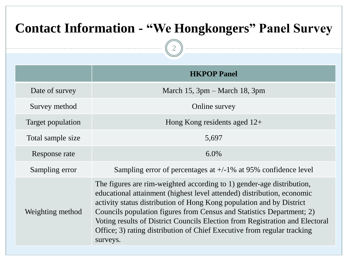# **Contact Information - "We Hongkongers" Panel Survey**

2

|                   | <b>HKPOP Panel</b>                                                                                                                                                                                                                                                                                                                                                                                                                                                      |
|-------------------|-------------------------------------------------------------------------------------------------------------------------------------------------------------------------------------------------------------------------------------------------------------------------------------------------------------------------------------------------------------------------------------------------------------------------------------------------------------------------|
| Date of survey    | March 15, $3pm - March 18$ , $3pm$                                                                                                                                                                                                                                                                                                                                                                                                                                      |
| Survey method     | Online survey                                                                                                                                                                                                                                                                                                                                                                                                                                                           |
| Target population | Hong Kong residents aged $12+$                                                                                                                                                                                                                                                                                                                                                                                                                                          |
| Total sample size | 5,697                                                                                                                                                                                                                                                                                                                                                                                                                                                                   |
| Response rate     | $6.0\%$                                                                                                                                                                                                                                                                                                                                                                                                                                                                 |
| Sampling error    | Sampling error of percentages at $+/-1\%$ at 95% confidence level                                                                                                                                                                                                                                                                                                                                                                                                       |
| Weighting method  | The figures are rim-weighted according to 1) gender-age distribution,<br>educational attainment (highest level attended) distribution, economic<br>activity status distribution of Hong Kong population and by District<br>Councils population figures from Census and Statistics Department; 2)<br>Voting results of District Councils Election from Registration and Electoral<br>Office; 3) rating distribution of Chief Executive from regular tracking<br>surveys. |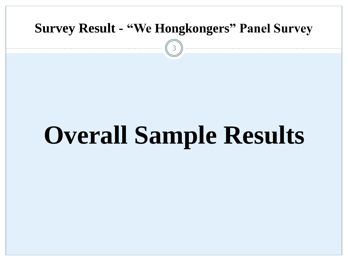

# **Overall Sample Results**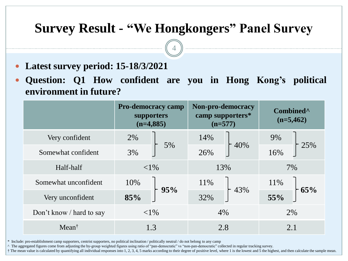4

- **Latest survey period: 15-18/3/2021**
- **Question: Q1 How confident are you in Hong Kong's political environment in future?**

|                          | <b>Pro-democracy camp</b><br>supporters<br>$(n=4,885)$ |     | Non-pro-democracy<br>camp supporters*<br>$(n=577)$ |     | Combined <sup>^</sup><br>$(n=5,462)$ |     |
|--------------------------|--------------------------------------------------------|-----|----------------------------------------------------|-----|--------------------------------------|-----|
| Very confident           | 2%                                                     | 5%  | 14%                                                | 40% | 9%                                   |     |
| Somewhat confident       | 3%                                                     |     | 26%                                                |     | 16%                                  | 25% |
| Half-half                | ${<}1\%$                                               |     | 13%                                                |     | 7%                                   |     |
| Somewhat unconfident     | 10%                                                    |     | 11%                                                |     | 11%                                  | 65% |
| Very unconfident         | 85%                                                    | 95% | 32%                                                | 43% | 55%                                  |     |
| Don't know / hard to say | ${<}1\%$                                               |     | 4%                                                 |     |                                      | 2%  |
| $Mean^{\dagger}$         | 1.3                                                    |     | 2.8                                                |     |                                      | 2.1 |

\* Include: pro-establishment camp supporters, centrist supporters, no political inclination / politically neutral / do not belong to any camp

^ The aggregated figures come from adjusting the by-group weighted figures using ratio of "pan-democratic" vs "non-pan-democratic" collected in regular tracking survey.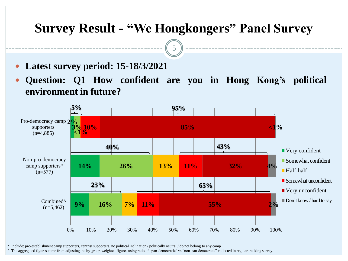5

- **Latest survey period: 15-18/3/2021**
- **Question: Q1 How confident are you in Hong Kong's political environment in future?**



\* Include: pro-establishment camp supporters, centrist supporters, no political inclination / politically neutral / do not belong to any camp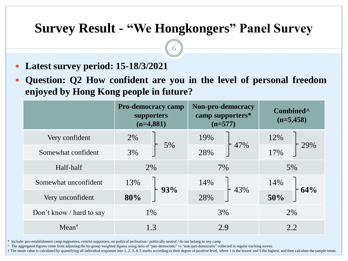6

- **Latest survey period: 15-18/3/2021**
- **Question: Q2 How confident are you in the level of personal freedom enjoyed by Hong Kong people in future?**

|                          | <b>Pro-democracy camp</b><br>supporters<br>$(n=4,881)$ |     | Non-pro-democracy<br>camp supporters*<br>$(n=577)$ |     | Combined <sup>^</sup><br>$(n=5,458)$ |     |  |
|--------------------------|--------------------------------------------------------|-----|----------------------------------------------------|-----|--------------------------------------|-----|--|
| Very confident           | 2%                                                     | 5%  | 19%                                                | 47% | 12%                                  |     |  |
| Somewhat confident       | 3%                                                     |     | 28%                                                |     | 17%                                  | 29% |  |
| Half-half                | 2%                                                     |     | 7%                                                 |     | 5%                                   |     |  |
| Somewhat unconfident     | 13%                                                    | 93% | 14%                                                |     | 14%                                  | 64% |  |
| Very unconfident         | 80%                                                    |     | 28%                                                | 43% | 50%                                  |     |  |
| Don't know / hard to say | 1%                                                     |     | 3%                                                 |     |                                      | 2%  |  |
| $Mean^{\dagger}$         | 1.3                                                    |     | 2.9                                                |     |                                      | 2.2 |  |

\* Include: pro-establishment camp supporters, centrist supporters, no political inclination / politically neutral / do not belong to any camp

^ The aggregated figures come from adjusting the by-group weighted figures using ratio of "pan-democratic" vs "non-pan-democratic" collected in regular tracking survey.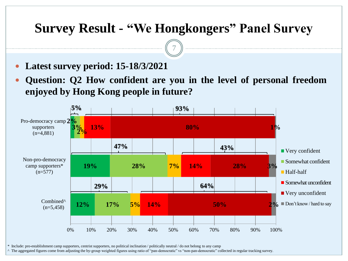7

- **Latest survey period: 15-18/3/2021**
- **Question: Q2 How confident are you in the level of personal freedom enjoyed by Hong Kong people in future?**



\* Include: pro-establishment camp supporters, centrist supporters, no political inclination / politically neutral / do not belong to any camp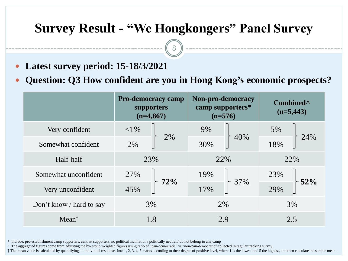8

- **Latest survey period: 15-18/3/2021**
- **Question: Q3 How confident are you in Hong Kong's economic prospects?**

|                          | <b>Pro-democracy camp</b><br>supporters<br>$(n=4,867)$ |     | Non-pro-democracy<br>camp supporters*<br>$(n=576)$ |     | Combined <sup>^</sup><br>$(n=5,443)$ |     |
|--------------------------|--------------------------------------------------------|-----|----------------------------------------------------|-----|--------------------------------------|-----|
| Very confident           | ${<}1\%$                                               |     | 9%                                                 | 40% | 5%                                   | 24% |
| Somewhat confident       | 2%                                                     | 2%  | 30%                                                |     | 18%                                  |     |
| Half-half                | 23%                                                    |     | 22%                                                |     | 22%                                  |     |
| Somewhat unconfident     | 27%                                                    |     |                                                    |     | 23%                                  |     |
| Very unconfident         | 45%                                                    | 72% | 17%                                                | 37% | 29%                                  | 52% |
| Don't know / hard to say | 3%                                                     |     | 2%                                                 |     | 3%                                   |     |
| $Mean^{\dagger}$         | 1.8                                                    |     | 2.9                                                |     | 2.5                                  |     |

\* Include: pro-establishment camp supporters, centrist supporters, no political inclination / politically neutral / do not belong to any camp

^ The aggregated figures come from adjusting the by-group weighted figures using ratio of "pan-democratic" vs "non-pan-democratic" collected in regular tracking survey.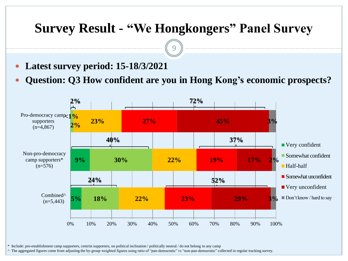9

- **Latest survey period: 15-18/3/2021**
- **Question: Q3 How confident are you in Hong Kong's economic prospects?**



\* Include: pro-establishment camp supporters, centrist supporters, no political inclination / politically neutral / do not belong to any camp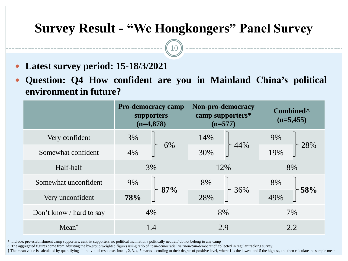$10)$ 

- **Latest survey period: 15-18/3/2021**
- **Question: Q4 How confident are you in Mainland China's political environment in future?**

|                          | <b>Pro-democracy camp</b><br>supporters<br>$(n=4,878)$ |     | Non-pro-democracy<br>camp supporters*<br>$(n=577)$ |     | Combined <sup>^</sup><br>$(n=5,455)$ |           |  |
|--------------------------|--------------------------------------------------------|-----|----------------------------------------------------|-----|--------------------------------------|-----------|--|
| Very confident           | 3%                                                     | 6%  | 14%                                                | 44% | 9%                                   | 28%       |  |
| Somewhat confident       | 4%                                                     |     | 30%                                                |     | 19%                                  |           |  |
| Half-half                | 3%                                                     |     | 12%                                                |     | 8%                                   |           |  |
| Somewhat unconfident     | 9%                                                     |     |                                                    | 8%  |                                      | 8%<br>58% |  |
| Very unconfident         | 78%                                                    | 87% | 28%                                                | 36% | 49%                                  |           |  |
| Don't know / hard to say | 4%                                                     |     | 8%                                                 |     |                                      | 7%        |  |
| $Mean^{\dagger}$         | 1.4                                                    |     | 2.9                                                |     |                                      | 2.2       |  |

\* Include: pro-establishment camp supporters, centrist supporters, no political inclination / politically neutral / do not belong to any camp

^ The aggregated figures come from adjusting the by-group weighted figures using ratio of "pan-democratic" vs "non-pan-democratic" collected in regular tracking survey.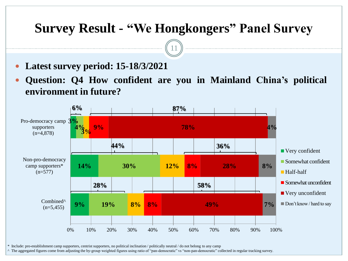11

- **Latest survey period: 15-18/3/2021**
- **Question: Q4 How confident are you in Mainland China's political environment in future?**



\* Include: pro-establishment camp supporters, centrist supporters, no political inclination / politically neutral / do not belong to any camp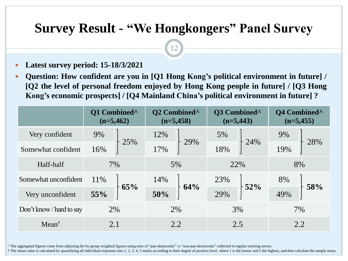12

- **Latest survey period: 15-18/3/2021**
- **Question: How confident are you in [Q1 Hong Kong's political environment in future] / [Q2 the level of personal freedom enjoyed by Hong Kong people in future] / [Q3 Hong Kong's economic prospects] / [Q4 Mainland China's political environment in future] ?**

|                          | Q1 Combined <sup>^</sup><br>$(n=5,462)$ | Q2 Combined <sup>^</sup><br>$(n=5,458)$ | Q3 Combined <sup>^</sup><br>$(n=5,443)$ | Q4 Combined <sup>^</sup><br>$(n=5,455)$ |  |
|--------------------------|-----------------------------------------|-----------------------------------------|-----------------------------------------|-----------------------------------------|--|
| Very confident           | 9%                                      | 12%                                     | 5%                                      | 9%                                      |  |
| Somewhat confident       | 25%<br>16%                              | 29%<br>17%                              | 24%<br>18%                              | 28%<br>19%                              |  |
| Half-half                | 7%                                      | 5%                                      | 22%                                     | 8%                                      |  |
| Somewhat unconfident     | 11\%                                    | 14%<br>64%                              | 23%<br>$-52%$                           | 8%<br>58%                               |  |
| Very unconfident         | 65%<br>55%                              | 50%                                     | 29%                                     | 49%                                     |  |
| Don't know / hard to say | 2%                                      | 2%                                      | 3%                                      | 7%                                      |  |
| $Mean^{\dagger}$         | 2.1                                     | 2.2                                     | 2.5                                     | 2.2                                     |  |

^ The aggregated figures come from adjusting the by-group weighted figures using ratio of "pan-democratic" vs "non-pan-democratic" collected in regular tracking survey.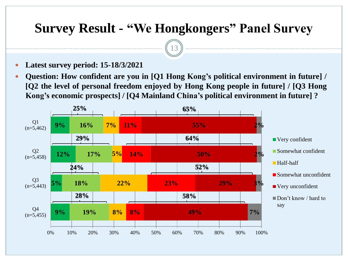13

- **Latest survey period: 15-18/3/2021**
- **Question: How confident are you in [Q1 Hong Kong's political environment in future] / [Q2 the level of personal freedom enjoyed by Hong Kong people in future] / [Q3 Hong Kong's economic prospects] / [Q4 Mainland China's political environment in future] ?**

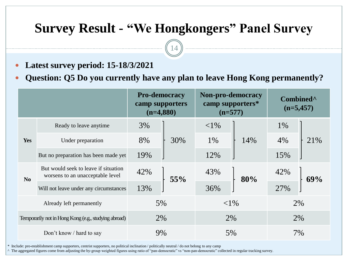14

- **Latest survey period: 15-18/3/2021**
- **Question: Q5 Do you currently have any plan to leave Hong Kong permanently?**

|                                                      |                                                                          |     | <b>Pro-democracy</b><br>camp supporters<br>$(n=4,880)$ |          | Non-pro-democracy<br>camp supporters*<br>$(n=577)$ |     | Combined <sup>^</sup><br>$(n=5,457)$ |
|------------------------------------------------------|--------------------------------------------------------------------------|-----|--------------------------------------------------------|----------|----------------------------------------------------|-----|--------------------------------------|
|                                                      | Ready to leave anytime                                                   | 3%  |                                                        | ${<}1\%$ |                                                    | 1%  |                                      |
| Yes                                                  | Under preparation                                                        | 8%  | 30%                                                    | 1%       | 14%                                                | 4%  | 21%                                  |
|                                                      | But no preparation has been made yet                                     | 19% |                                                        | 12%      |                                                    | 15% |                                      |
| No                                                   | But would seek to leave if situation<br>worsens to an unacceptable level | 42% | 55%                                                    | 43%      | 80%                                                | 42% | 69%                                  |
|                                                      | Will not leave under any circumstances                                   | 13% |                                                        | 36%      |                                                    | 27% |                                      |
| Already left permanently                             |                                                                          |     | 5%                                                     |          | ${<}1\%$                                           |     | 2%                                   |
| Temporarily not in Hong Kong (e.g., studying abroad) |                                                                          |     | 2%                                                     |          | 2%                                                 |     | 2%                                   |
| Don't know / hard to say                             |                                                                          |     | 9%                                                     |          | 5%                                                 |     | 7%                                   |

\* Include: pro-establishment camp supporters, centrist supporters, no political inclination / politically neutral / do not belong to any camp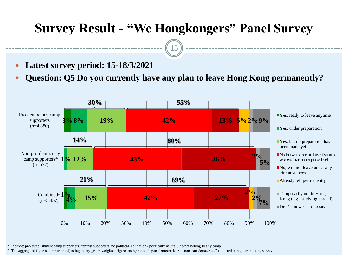15

- **Latest survey period: 15-18/3/2021**
- **Question: Q5 Do you currently have any plan to leave Hong Kong permanently?**



\* Include: pro-establishment camp supporters, centrist supporters, no political inclination / politically neutral / do not belong to any camp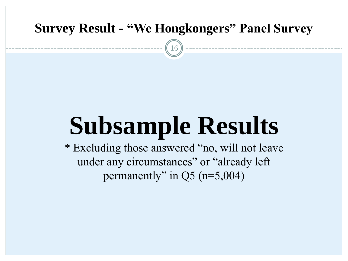16

# **Subsample Results**

\* Excluding those answered "no, will not leave under any circumstances" or "already left permanently" in Q5 (n=5,004)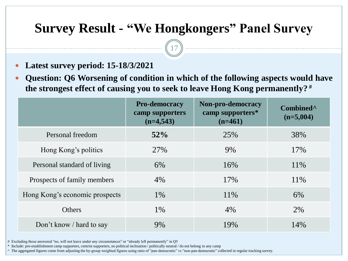17

- **Latest survey period: 15-18/3/2021**
- **Question: Q6 Worsening of condition in which of the following aspects would have the strongest effect of causing you to seek to leave Hong Kong permanently? #**

|                                | <b>Pro-democracy</b><br>camp supporters<br>$(n=4,543)$ | Non-pro-democracy<br>camp supporters*<br>$(n=461)$ | Combined <sup>^</sup><br>$(n=5,004)$ |
|--------------------------------|--------------------------------------------------------|----------------------------------------------------|--------------------------------------|
| Personal freedom               | 52%                                                    | 25%                                                | 38%                                  |
| Hong Kong's politics           | 27%                                                    | 9%                                                 | 17%                                  |
| Personal standard of living    | 6%                                                     | 16%                                                | 11\%                                 |
| Prospects of family members    | 4%                                                     | 17%                                                | 11\%                                 |
| Hong Kong's economic prospects | $1\%$                                                  | 11\%                                               | 6%                                   |
| <b>Others</b>                  | 1%                                                     | 4%                                                 | 2%                                   |
| Don't know / hard to say       | 9%                                                     | 19%                                                | 14%                                  |

# Excluding those answered "no, will not leave under any circumstances" or "already left permanently" in Q5

\* Include: pro-establishment camp supporters, centrist supporters, no political inclination / politically neutral / do not belong to any camp